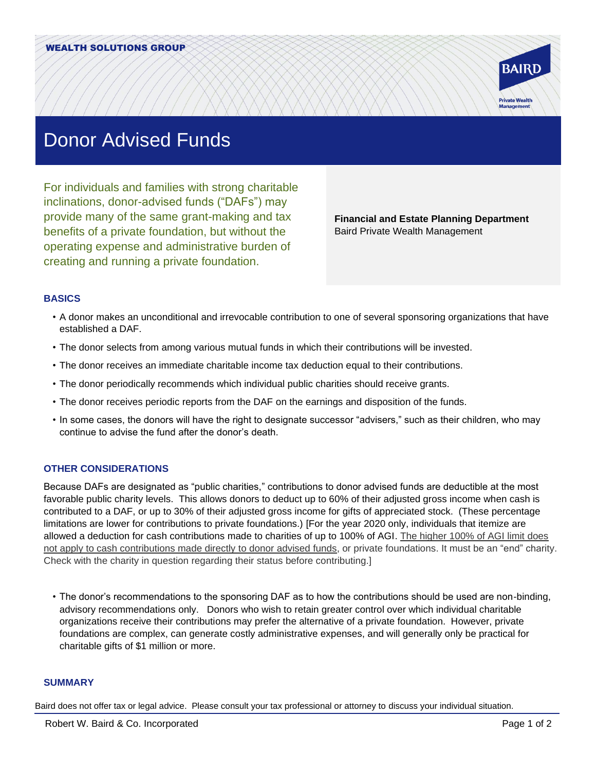

## Donor Advised Funds

For individuals and families with strong charitable inclinations, donor-advised funds ("DAFs") may provide many of the same grant-making and tax benefits of a private foundation, but without the operating expense and administrative burden of creating and running a private foundation.

**Financial and Estate Planning Department** Baird Private Wealth Management

## **BASICS**

- A donor makes an unconditional and irrevocable contribution to one of several sponsoring organizations that have established a DAF.
- The donor selects from among various mutual funds in which their contributions will be invested.
- The donor receives an immediate charitable income tax deduction equal to their contributions.
- The donor periodically recommends which individual public charities should receive grants.
- The donor receives periodic reports from the DAF on the earnings and disposition of the funds.
- In some cases, the donors will have the right to designate successor "advisers," such as their children, who may continue to advise the fund after the donor's death.

## **OTHER CONSIDERATIONS**

Because DAFs are designated as "public charities," contributions to donor advised funds are deductible at the most favorable public charity levels. This allows donors to deduct up to 60% of their adjusted gross income when cash is contributed to a DAF, or up to 30% of their adjusted gross income for gifts of appreciated stock. (These percentage limitations are lower for contributions to private foundations.) [For the year 2020 only, individuals that itemize are allowed a deduction for cash contributions made to charities of up to 100% of AGI. The higher 100% of AGI limit does not apply to cash contributions made directly to donor advised funds, or private foundations. It must be an "end" charity. Check with the charity in question regarding their status before contributing.]

• The donor's recommendations to the sponsoring DAF as to how the contributions should be used are non-binding, advisory recommendations only. Donors who wish to retain greater control over which individual charitable organizations receive their contributions may prefer the alternative of a private foundation. However, private foundations are complex, can generate costly administrative expenses, and will generally only be practical for charitable gifts of \$1 million or more.

## **SUMMARY**

Baird does not offer tax or legal advice. Please consult your tax professional or attorney to discuss your individual situation.